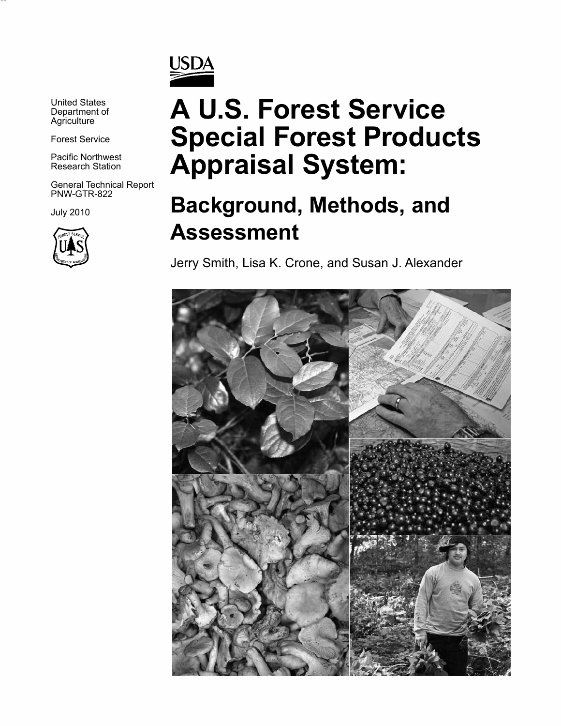

United States Department of **Agriculture** 

*vvvv*

Forest Service

Pacific Northwest Research Station

General Technical Report PNW-GTR-822

July 2010



# **A U.S. Forest Service Special Forest Products Appraisal System:**

## **Background, Methods, and Assessment**

Jerry Smith, Lisa K. Crone, and Susan J. Alexander

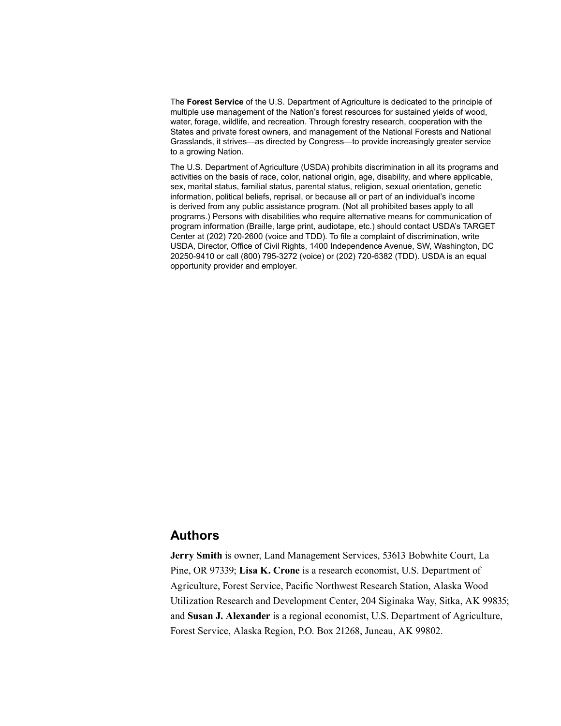The **Forest Service** of the U.S. Department of Agriculture is dedicated to the principle of multiple use management of the Nation's forest resources for sustained yields of wood, water, forage, wildlife, and recreation. Through forestry research, cooperation with the States and private forest owners, and management of the National Forests and National Grasslands, it strives—as directed by Congress—to provide increasingly greater service to a growing Nation.

The U.S. Department of Agriculture (USDA) prohibits discrimination in all its programs and activities on the basis of race, color, national origin, age, disability, and where applicable, sex, marital status, familial status, parental status, religion, sexual orientation, genetic information, political beliefs, reprisal, or because all or part of an individual's income is derived from any public assistance program. (Not all prohibited bases apply to all programs.) Persons with disabilities who require alternative means for communication of program information (Braille, large print, audiotape, etc.) should contact USDA's TARGET Center at (202) 720-2600 (voice and TDD). To file a complaint of discrimination, write USDA, Director, Office of Civil Rights, 1400 Independence Avenue, SW, Washington, DC 20250-9410 or call (800) 795-3272 (voice) or (202) 720-6382 (TDD). USDA is an equal opportunity provider and employer.

#### **Authors**

**Jerry Smith** is owner, Land Management Services, 53613 Bobwhite Court, La Pine, OR 97339; **Lisa K. Crone** is a research economist, U.S. Department of Agriculture, Forest Service, Pacific Northwest Research Station, Alaska Wood Utilization Research and Development Center, 204 Siginaka Way, Sitka, AK 99835; and **Susan J. Alexander** is a regional economist, U.S. Department of Agriculture, Forest Service, Alaska Region, P.O. Box 21268, Juneau, AK 99802.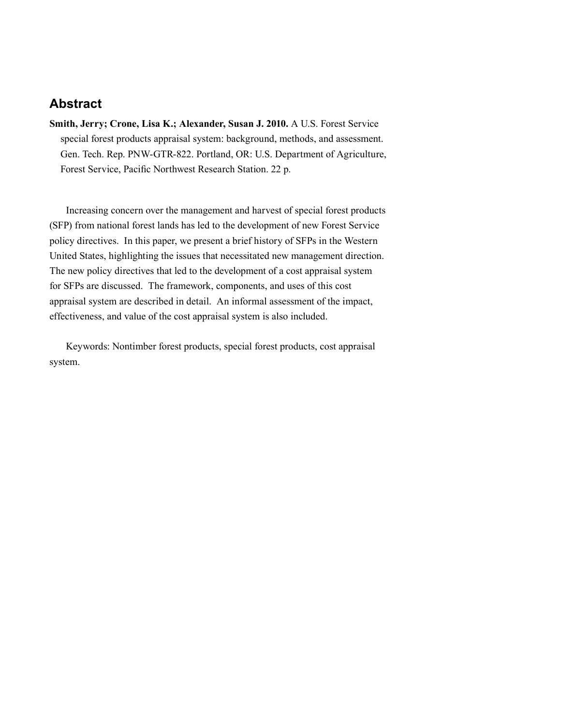## **Abstract**

**Smith, Jerry; Crone, Lisa K.; Alexander, Susan J. 2010.** A U.S. Forest Service special forest products appraisal system: background, methods, and assessment. Gen. Tech. Rep. PNW-GTR-822. Portland, OR: U.S. Department of Agriculture, Forest Service, Pacific Northwest Research Station. 22 p.

Increasing concern over the management and harvest of special forest products (SFP) from national forest lands has led to the development of new Forest Service policy directives. In this paper, we present a brief history of SFPs in the Western United States, highlighting the issues that necessitated new management direction. The new policy directives that led to the development of a cost appraisal system for SFPs are discussed. The framework, components, and uses of this cost appraisal system are described in detail. An informal assessment of the impact, effectiveness, and value of the cost appraisal system is also included.

Keywords: Nontimber forest products, special forest products, cost appraisal system.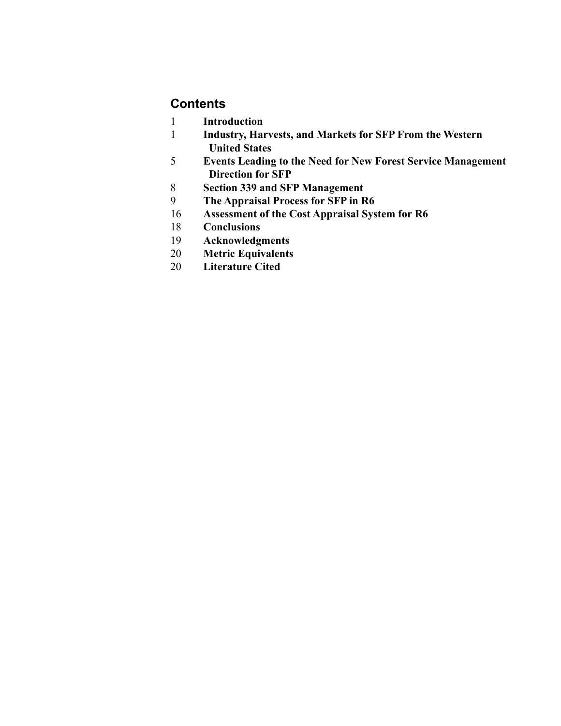## **Contents**

- **Introduction**
- **Industry, Harvests, and Markets for SFP From the Western United States**
- **Events Leading to the Need for New Forest Service Management Direction for SFP**
- **Section 339 and SFP Management**
- **The Appraisal Process for SFP in R6**
- **Assessment of the Cost Appraisal System for R6**
- **Conclusions**
- **Acknowledgments**
- **Metric Equivalents**
- **Literature Cited**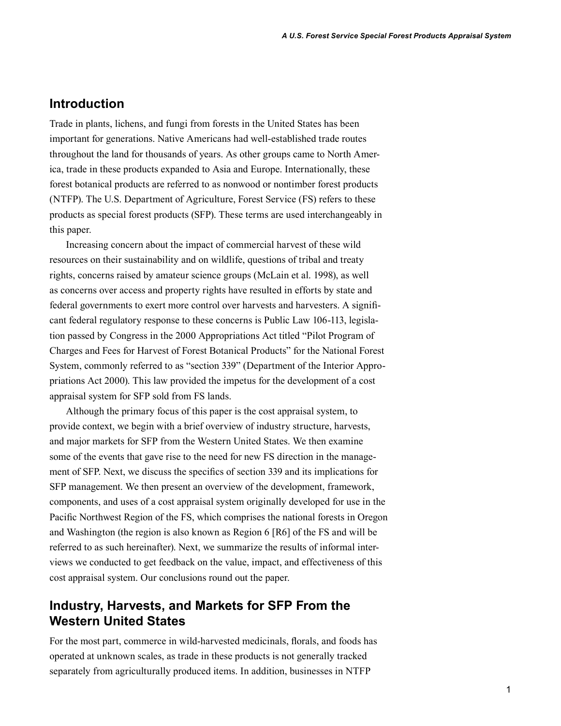#### **Introduction**

Trade in plants, lichens, and fungi from forests in the United States has been important for generations. Native Americans had well-established trade routes throughout the land for thousands of years. As other groups came to North America, trade in these products expanded to Asia and Europe. Internationally, these forest botanical products are referred to as nonwood or nontimber forest products (NTFP). The U.S. Department of Agriculture, Forest Service (FS) refers to these products as special forest products (SFP). These terms are used interchangeably in this paper.

Increasing concern about the impact of commercial harvest of these wild resources on their sustainability and on wildlife, questions of tribal and treaty rights, concerns raised by amateur science groups (McLain et al. 1998), as well as concerns over access and property rights have resulted in efforts by state and federal governments to exert more control over harvests and harvesters. A significant federal regulatory response to these concerns is Public Law 106-113, legislation passed by Congress in the 2000 Appropriations Act titled "Pilot Program of Charges and Fees for Harvest of Forest Botanical Products" for the National Forest System, commonly referred to as "section 339" (Department of the Interior Appropriations Act 2000). This law provided the impetus for the development of a cost appraisal system for SFP sold from FS lands.

Although the primary focus of this paper is the cost appraisal system, to provide context, we begin with a brief overview of industry structure, harvests, and major markets for SFP from the Western United States. We then examine some of the events that gave rise to the need for new FS direction in the management of SFP. Next, we discuss the specifics of section 339 and its implications for SFP management. We then present an overview of the development, framework, components, and uses of a cost appraisal system originally developed for use in the Pacific Northwest Region of the FS, which comprises the national forests in Oregon and Washington (the region is also known as Region 6 [R6] of the FS and will be referred to as such hereinafter). Next, we summarize the results of informal interviews we conducted to get feedback on the value, impact, and effectiveness of this cost appraisal system. Our conclusions round out the paper.

## **Industry, Harvests, and Markets for SFP From the Western United States**

For the most part, commerce in wild-harvested medicinals, florals, and foods has operated at unknown scales, as trade in these products is not generally tracked separately from agriculturally produced items. In addition, businesses in NTFP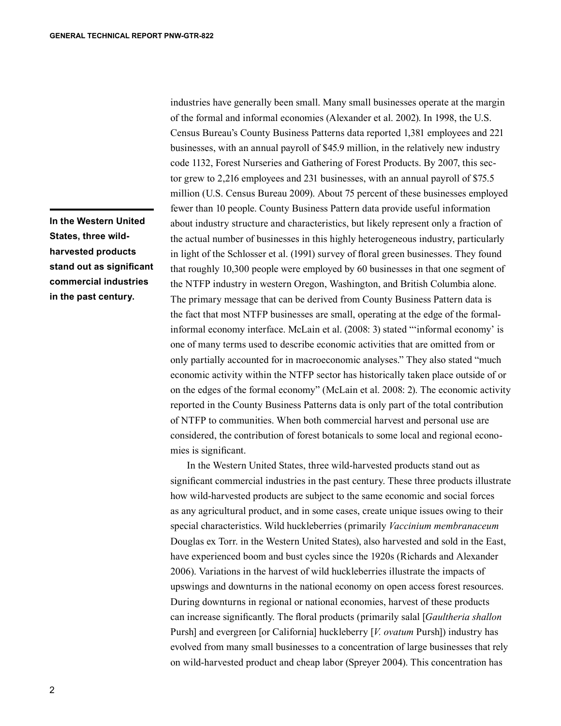**In the Western United States, three wildharvested products stand out as significant commercial industries in the past century.**

industries have generally been small. Many small businesses operate at the margin of the formal and informal economies (Alexander et al. 2002). In 1998, the U.S. Census Bureau's County Business Patterns data reported 1,381 employees and 221 businesses, with an annual payroll of \$45.9 million, in the relatively new industry code 1132, Forest Nurseries and Gathering of Forest Products. By 2007, this sector grew to 2,216 employees and 231 businesses, with an annual payroll of \$75.5 million (U.S. Census Bureau 2009). About 75 percent of these businesses employed fewer than 10 people. County Business Pattern data provide useful information about industry structure and characteristics, but likely represent only a fraction of the actual number of businesses in this highly heterogeneous industry, particularly in light of the Schlosser et al. (1991) survey of floral green businesses. They found that roughly 10,300 people were employed by 60 businesses in that one segment of the NTFP industry in western Oregon, Washington, and British Columbia alone. The primary message that can be derived from County Business Pattern data is the fact that most NTFP businesses are small, operating at the edge of the formalinformal economy interface. McLain et al. (2008: 3) stated "'informal economy' is one of many terms used to describe economic activities that are omitted from or only partially accounted for in macroeconomic analyses." They also stated "much economic activity within the NTFP sector has historically taken place outside of or on the edges of the formal economy" (McLain et al. 2008: 2). The economic activity reported in the County Business Patterns data is only part of the total contribution of NTFP to communities. When both commercial harvest and personal use are considered, the contribution of forest botanicals to some local and regional economies is significant.

In the Western United States, three wild-harvested products stand out as significant commercial industries in the past century. These three products illustrate how wild-harvested products are subject to the same economic and social forces as any agricultural product, and in some cases, create unique issues owing to their special characteristics. Wild huckleberries (primarily *Vaccinium membranaceum* Douglas ex Torr. in the Western United States), also harvested and sold in the East, have experienced boom and bust cycles since the 1920s (Richards and Alexander 2006). Variations in the harvest of wild huckleberries illustrate the impacts of upswings and downturns in the national economy on open access forest resources. During downturns in regional or national economies, harvest of these products can increase significantly. The floral products (primarily salal [*Gaultheria shallon* Pursh] and evergreen [or California] huckleberry [*V. ovatum* Pursh]) industry has evolved from many small businesses to a concentration of large businesses that rely on wild-harvested product and cheap labor (Spreyer 2004). This concentration has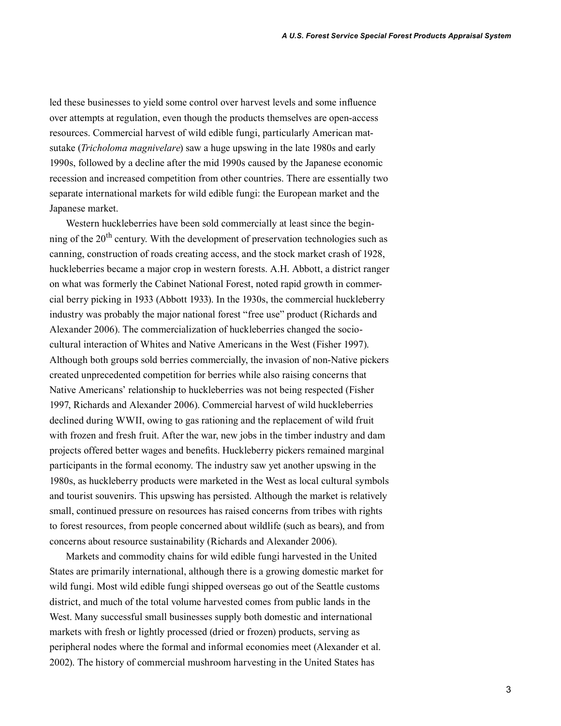led these businesses to yield some control over harvest levels and some influence over attempts at regulation, even though the products themselves are open-access resources. Commercial harvest of wild edible fungi, particularly American matsutake (*Tricholoma magnivelare*) saw a huge upswing in the late 1980s and early 1990s, followed by a decline after the mid 1990s caused by the Japanese economic recession and increased competition from other countries. There are essentially two separate international markets for wild edible fungi: the European market and the Japanese market.

Western huckleberries have been sold commercially at least since the beginning of the 20<sup>th</sup> century. With the development of preservation technologies such as canning, construction of roads creating access, and the stock market crash of 1928, huckleberries became a major crop in western forests. A.H. Abbott, a district ranger on what was formerly the Cabinet National Forest, noted rapid growth in commercial berry picking in 1933 (Abbott 1933). In the 1930s, the commercial huckleberry industry was probably the major national forest "free use" product (Richards and Alexander 2006). The commercialization of huckleberries changed the sociocultural interaction of Whites and Native Americans in the West (Fisher 1997). Although both groups sold berries commercially, the invasion of non-Native pickers created unprecedented competition for berries while also raising concerns that Native Americans' relationship to huckleberries was not being respected (Fisher 1997, Richards and Alexander 2006). Commercial harvest of wild huckleberries declined during WWII, owing to gas rationing and the replacement of wild fruit with frozen and fresh fruit. After the war, new jobs in the timber industry and dam projects offered better wages and benefits. Huckleberry pickers remained marginal participants in the formal economy. The industry saw yet another upswing in the 1980s, as huckleberry products were marketed in the West as local cultural symbols and tourist souvenirs. This upswing has persisted. Although the market is relatively small, continued pressure on resources has raised concerns from tribes with rights to forest resources, from people concerned about wildlife (such as bears), and from concerns about resource sustainability (Richards and Alexander 2006).

Markets and commodity chains for wild edible fungi harvested in the United States are primarily international, although there is a growing domestic market for wild fungi. Most wild edible fungi shipped overseas go out of the Seattle customs district, and much of the total volume harvested comes from public lands in the West. Many successful small businesses supply both domestic and international markets with fresh or lightly processed (dried or frozen) products, serving as peripheral nodes where the formal and informal economies meet (Alexander et al. 2002). The history of commercial mushroom harvesting in the United States has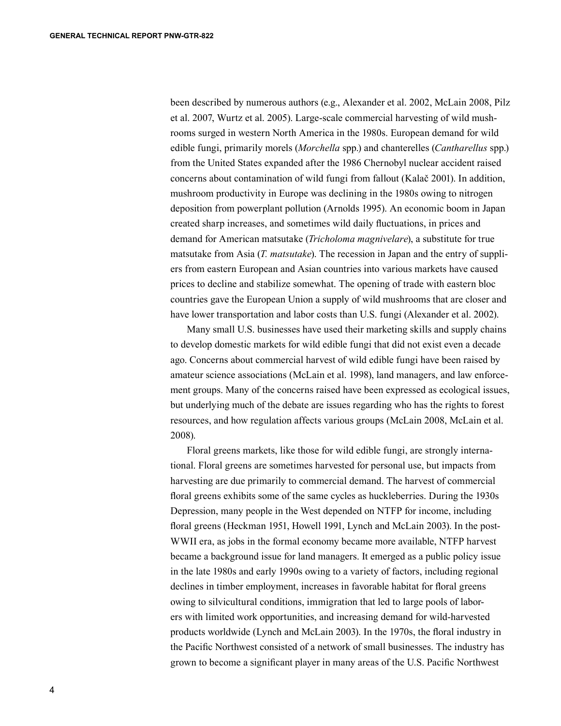been described by numerous authors (e.g., Alexander et al. 2002, McLain 2008, Pilz et al. 2007, Wurtz et al. 2005). Large-scale commercial harvesting of wild mushrooms surged in western North America in the 1980s. European demand for wild edible fungi, primarily morels (*Morchella* spp.) and chanterelles (*Cantharellus* spp.) from the United States expanded after the 1986 Chernobyl nuclear accident raised concerns about contamination of wild fungi from fallout (Kalač 2001). In addition, mushroom productivity in Europe was declining in the 1980s owing to nitrogen deposition from powerplant pollution (Arnolds 1995). An economic boom in Japan created sharp increases, and sometimes wild daily fluctuations, in prices and demand for American matsutake (*Tricholoma magnivelare*), a substitute for true matsutake from Asia (*T. matsutake*). The recession in Japan and the entry of suppliers from eastern European and Asian countries into various markets have caused prices to decline and stabilize somewhat. The opening of trade with eastern bloc countries gave the European Union a supply of wild mushrooms that are closer and have lower transportation and labor costs than U.S. fungi (Alexander et al. 2002).

Many small U.S. businesses have used their marketing skills and supply chains to develop domestic markets for wild edible fungi that did not exist even a decade ago. Concerns about commercial harvest of wild edible fungi have been raised by amateur science associations (McLain et al. 1998), land managers, and law enforcement groups. Many of the concerns raised have been expressed as ecological issues, but underlying much of the debate are issues regarding who has the rights to forest resources, and how regulation affects various groups (McLain 2008, McLain et al. 2008).

Floral greens markets, like those for wild edible fungi, are strongly international. Floral greens are sometimes harvested for personal use, but impacts from harvesting are due primarily to commercial demand. The harvest of commercial floral greens exhibits some of the same cycles as huckleberries. During the 1930s Depression, many people in the West depended on NTFP for income, including floral greens (Heckman 1951, Howell 1991, Lynch and McLain 2003). In the post-WWII era, as jobs in the formal economy became more available, NTFP harvest became a background issue for land managers. It emerged as a public policy issue in the late 1980s and early 1990s owing to a variety of factors, including regional declines in timber employment, increases in favorable habitat for floral greens owing to silvicultural conditions, immigration that led to large pools of laborers with limited work opportunities, and increasing demand for wild-harvested products worldwide (Lynch and McLain 2003). In the 1970s, the floral industry in the Pacific Northwest consisted of a network of small businesses. The industry has grown to become a significant player in many areas of the U.S. Pacific Northwest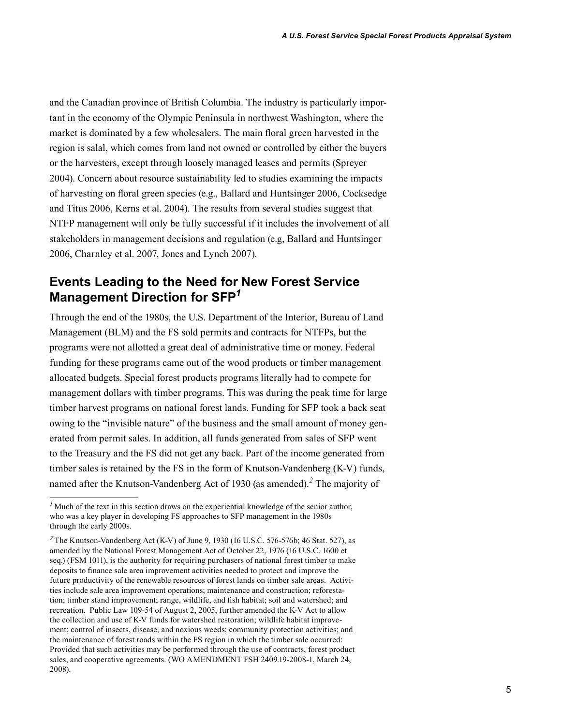and the Canadian province of British Columbia. The industry is particularly important in the economy of the Olympic Peninsula in northwest Washington, where the market is dominated by a few wholesalers. The main floral green harvested in the region is salal, which comes from land not owned or controlled by either the buyers or the harvesters, except through loosely managed leases and permits (Spreyer 2004). Concern about resource sustainability led to studies examining the impacts of harvesting on floral green species (e.g., Ballard and Huntsinger 2006, Cocksedge and Titus 2006, Kerns et al. 2004). The results from several studies suggest that NTFP management will only be fully successful if it includes the involvement of all stakeholders in management decisions and regulation (e.g, Ballard and Huntsinger 2006, Charnley et al. 2007, Jones and Lynch 2007).

## **Events Leading to the Need for New Forest Service Management Direction for SFP***<sup>1</sup>*

Through the end of the 1980s, the U.S. Department of the Interior, Bureau of Land Management (BLM) and the FS sold permits and contracts for NTFPs, but the programs were not allotted a great deal of administrative time or money. Federal funding for these programs came out of the wood products or timber management allocated budgets. Special forest products programs literally had to compete for management dollars with timber programs. This was during the peak time for large timber harvest programs on national forest lands. Funding for SFP took a back seat owing to the "invisible nature" of the business and the small amount of money generated from permit sales. In addition, all funds generated from sales of SFP went to the Treasury and the FS did not get any back. Part of the income generated from timber sales is retained by the FS in the form of Knutson-Vandenberg (K-V) funds, named after the Knutson-Vandenberg Act of 1930 (as amended).*<sup>2</sup>* The majority of

<sup>&</sup>lt;sup>1</sup> Much of the text in this section draws on the experiential knowledge of the senior author, who was a key player in developing FS approaches to SFP management in the 1980s through the early 2000s.

<sup>&</sup>lt;sup>2</sup> The Knutson-Vandenberg Act (K-V) of June 9, 1930 (16 U.S.C. 576-576b; 46 Stat. 527), as amended by the National Forest Management Act of October 22, 1976 (16 U.S.C. 1600 et seq.) (FSM 1011), is the authority for requiring purchasers of national forest timber to make deposits to finance sale area improvement activities needed to protect and improve the future productivity of the renewable resources of forest lands on timber sale areas. Activities include sale area improvement operations; maintenance and construction; reforestation; timber stand improvement; range, wildlife, and fish habitat; soil and watershed; and recreation. Public Law 109-54 of August 2, 2005, further amended the K-V Act to allow the collection and use of K-V funds for watershed restoration; wildlife habitat improvement; control of insects, disease, and noxious weeds; community protection activities; and the maintenance of forest roads within the FS region in which the timber sale occurred: Provided that such activities may be performed through the use of contracts, forest product sales, and cooperative agreements. (WO AMENDMENT FSH 2409.19-2008-1, March 24, 2008).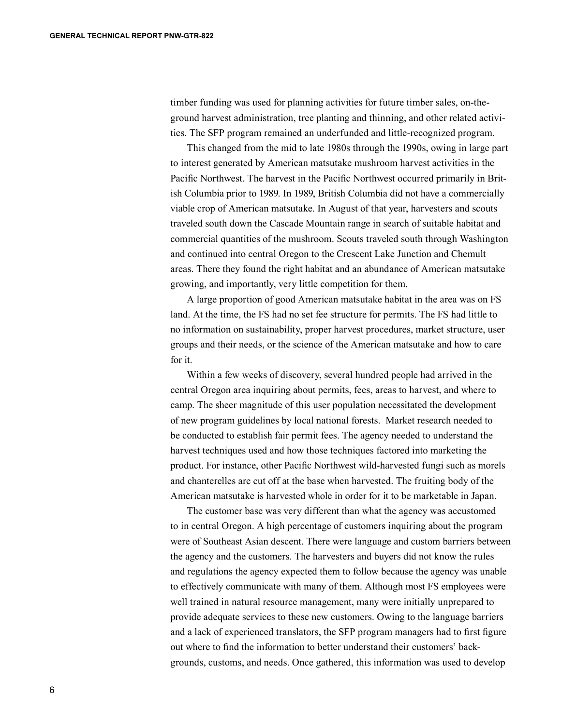timber funding was used for planning activities for future timber sales, on-theground harvest administration, tree planting and thinning, and other related activities. The SFP program remained an underfunded and little-recognized program.

This changed from the mid to late 1980s through the 1990s, owing in large part to interest generated by American matsutake mushroom harvest activities in the Pacific Northwest. The harvest in the Pacific Northwest occurred primarily in British Columbia prior to 1989. In 1989, British Columbia did not have a commercially viable crop of American matsutake. In August of that year, harvesters and scouts traveled south down the Cascade Mountain range in search of suitable habitat and commercial quantities of the mushroom. Scouts traveled south through Washington and continued into central Oregon to the Crescent Lake Junction and Chemult areas. There they found the right habitat and an abundance of American matsutake growing, and importantly, very little competition for them.

A large proportion of good American matsutake habitat in the area was on FS land. At the time, the FS had no set fee structure for permits. The FS had little to no information on sustainability, proper harvest procedures, market structure, user groups and their needs, or the science of the American matsutake and how to care for it.

Within a few weeks of discovery, several hundred people had arrived in the central Oregon area inquiring about permits, fees, areas to harvest, and where to camp. The sheer magnitude of this user population necessitated the development of new program guidelines by local national forests. Market research needed to be conducted to establish fair permit fees. The agency needed to understand the harvest techniques used and how those techniques factored into marketing the product. For instance, other Pacific Northwest wild-harvested fungi such as morels and chanterelles are cut off at the base when harvested. The fruiting body of the American matsutake is harvested whole in order for it to be marketable in Japan.

The customer base was very different than what the agency was accustomed to in central Oregon. A high percentage of customers inquiring about the program were of Southeast Asian descent. There were language and custom barriers between the agency and the customers. The harvesters and buyers did not know the rules and regulations the agency expected them to follow because the agency was unable to effectively communicate with many of them. Although most FS employees were well trained in natural resource management, many were initially unprepared to provide adequate services to these new customers. Owing to the language barriers and a lack of experienced translators, the SFP program managers had to first figure out where to find the information to better understand their customers' backgrounds, customs, and needs. Once gathered, this information was used to develop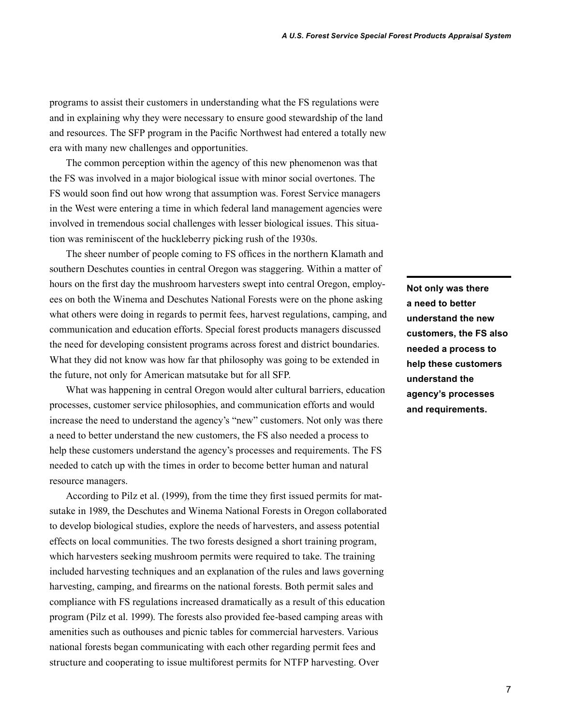programs to assist their customers in understanding what the FS regulations were and in explaining why they were necessary to ensure good stewardship of the land and resources. The SFP program in the Pacific Northwest had entered a totally new era with many new challenges and opportunities.

The common perception within the agency of this new phenomenon was that the FS was involved in a major biological issue with minor social overtones. The FS would soon find out how wrong that assumption was. Forest Service managers in the West were entering a time in which federal land management agencies were involved in tremendous social challenges with lesser biological issues. This situation was reminiscent of the huckleberry picking rush of the 1930s.

The sheer number of people coming to FS offices in the northern Klamath and southern Deschutes counties in central Oregon was staggering. Within a matter of hours on the first day the mushroom harvesters swept into central Oregon, employees on both the Winema and Deschutes National Forests were on the phone asking what others were doing in regards to permit fees, harvest regulations, camping, and communication and education efforts. Special forest products managers discussed the need for developing consistent programs across forest and district boundaries. What they did not know was how far that philosophy was going to be extended in the future, not only for American matsutake but for all SFP.

What was happening in central Oregon would alter cultural barriers, education processes, customer service philosophies, and communication efforts and would increase the need to understand the agency's "new" customers. Not only was there a need to better understand the new customers, the FS also needed a process to help these customers understand the agency's processes and requirements. The FS needed to catch up with the times in order to become better human and natural resource managers.

According to Pilz et al. (1999), from the time they first issued permits for matsutake in 1989, the Deschutes and Winema National Forests in Oregon collaborated to develop biological studies, explore the needs of harvesters, and assess potential effects on local communities. The two forests designed a short training program, which harvesters seeking mushroom permits were required to take. The training included harvesting techniques and an explanation of the rules and laws governing harvesting, camping, and firearms on the national forests. Both permit sales and compliance with FS regulations increased dramatically as a result of this education program (Pilz et al. 1999). The forests also provided fee-based camping areas with amenities such as outhouses and picnic tables for commercial harvesters. Various national forests began communicating with each other regarding permit fees and structure and cooperating to issue multiforest permits for NTFP harvesting. Over

**Not only was there a need to better understand the new customers, the FS also needed a process to help these customers understand the agency's processes and requirements.**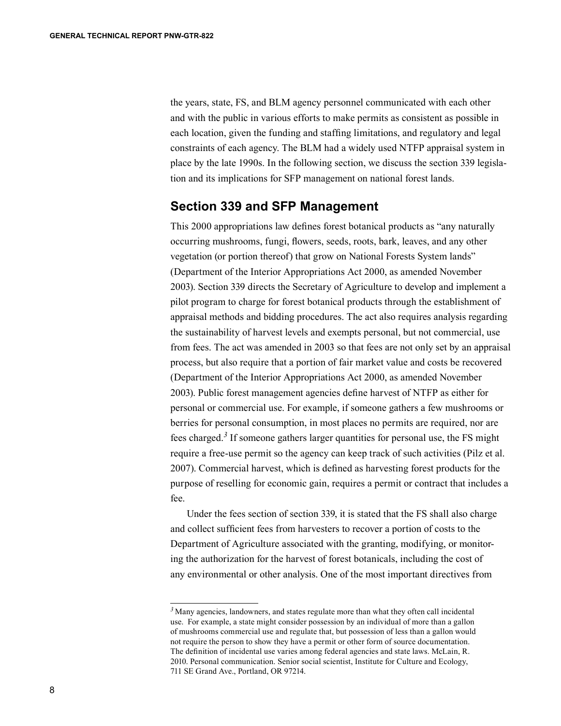the years, state, FS, and BLM agency personnel communicated with each other and with the public in various efforts to make permits as consistent as possible in each location, given the funding and staffing limitations, and regulatory and legal constraints of each agency. The BLM had a widely used NTFP appraisal system in place by the late 1990s. In the following section, we discuss the section 339 legislation and its implications for SFP management on national forest lands.

#### **Section 339 and SFP Management**

This 2000 appropriations law defines forest botanical products as "any naturally occurring mushrooms, fungi, flowers, seeds, roots, bark, leaves, and any other vegetation (or portion thereof) that grow on National Forests System lands" (Department of the Interior Appropriations Act 2000, as amended November 2003). Section 339 directs the Secretary of Agriculture to develop and implement a pilot program to charge for forest botanical products through the establishment of appraisal methods and bidding procedures. The act also requires analysis regarding the sustainability of harvest levels and exempts personal, but not commercial, use from fees. The act was amended in 2003 so that fees are not only set by an appraisal process, but also require that a portion of fair market value and costs be recovered (Department of the Interior Appropriations Act 2000, as amended November 2003). Public forest management agencies define harvest of NTFP as either for personal or commercial use. For example, if someone gathers a few mushrooms or berries for personal consumption, in most places no permits are required, nor are fees charged.*<sup>3</sup>* If someone gathers larger quantities for personal use, the FS might require a free-use permit so the agency can keep track of such activities (Pilz et al. 2007). Commercial harvest, which is defined as harvesting forest products for the purpose of reselling for economic gain, requires a permit or contract that includes a fee.

Under the fees section of section 339, it is stated that the FS shall also charge and collect sufficient fees from harvesters to recover a portion of costs to the Department of Agriculture associated with the granting, modifying, or monitoring the authorization for the harvest of forest botanicals, including the cost of any environmental or other analysis. One of the most important directives from

<sup>&</sup>lt;sup>3</sup> Many agencies, landowners, and states regulate more than what they often call incidental use. For example, a state might consider possession by an individual of more than a gallon of mushrooms commercial use and regulate that, but possession of less than a gallon would not require the person to show they have a permit or other form of source documentation. The definition of incidental use varies among federal agencies and state laws. McLain, R. 2010. Personal communication. Senior social scientist, Institute for Culture and Ecology, 711 SE Grand Ave., Portland, OR 97214.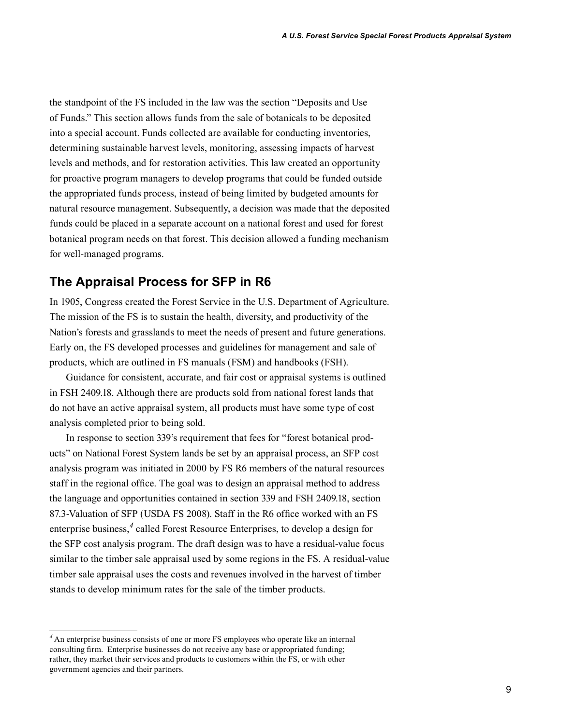the standpoint of the FS included in the law was the section "Deposits and Use of Funds." This section allows funds from the sale of botanicals to be deposited into a special account. Funds collected are available for conducting inventories, determining sustainable harvest levels, monitoring, assessing impacts of harvest levels and methods, and for restoration activities. This law created an opportunity for proactive program managers to develop programs that could be funded outside the appropriated funds process, instead of being limited by budgeted amounts for natural resource management. Subsequently, a decision was made that the deposited funds could be placed in a separate account on a national forest and used for forest botanical program needs on that forest. This decision allowed a funding mechanism for well-managed programs.

### **The Appraisal Process for SFP in R6**

In 1905, Congress created the Forest Service in the U.S. Department of Agriculture. The mission of the FS is to sustain the health, diversity, and productivity of the Nation's forests and grasslands to meet the needs of present and future generations. Early on, the FS developed processes and guidelines for management and sale of products, which are outlined in FS manuals (FSM) and handbooks (FSH).

Guidance for consistent, accurate, and fair cost or appraisal systems is outlined in FSH 2409.18. Although there are products sold from national forest lands that do not have an active appraisal system, all products must have some type of cost analysis completed prior to being sold.

In response to section 339's requirement that fees for "forest botanical products" on National Forest System lands be set by an appraisal process, an SFP cost analysis program was initiated in 2000 by FS R6 members of the natural resources staff in the regional office. The goal was to design an appraisal method to address the language and opportunities contained in section 339 and FSH 2409.18, section 87.3-Valuation of SFP (USDA FS 2008). Staff in the R6 office worked with an FS enterprise business,<sup>4</sup> called Forest Resource Enterprises, to develop a design for the SFP cost analysis program. The draft design was to have a residual-value focus similar to the timber sale appraisal used by some regions in the FS. A residual-value timber sale appraisal uses the costs and revenues involved in the harvest of timber stands to develop minimum rates for the sale of the timber products.

*<sup>4</sup>*An enterprise business consists of one or more FS employees who operate like an internal consulting firm. Enterprise businesses do not receive any base or appropriated funding; rather, they market their services and products to customers within the FS, or with other government agencies and their partners.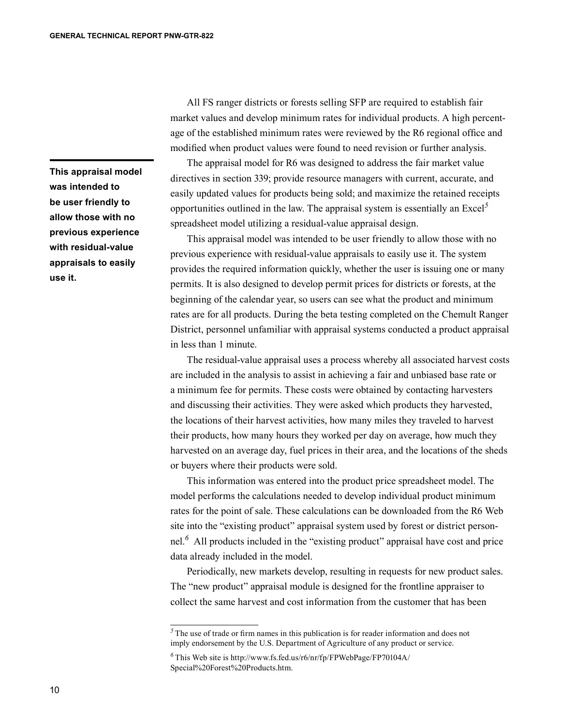**This appraisal model was intended to be user friendly to allow those with no previous experience with residual-value appraisals to easily use it.**

All FS ranger districts or forests selling SFP are required to establish fair market values and develop minimum rates for individual products. A high percentage of the established minimum rates were reviewed by the R6 regional office and modified when product values were found to need revision or further analysis.

The appraisal model for R6 was designed to address the fair market value directives in section 339; provide resource managers with current, accurate, and easily updated values for products being sold; and maximize the retained receipts opportunities outlined in the law. The appraisal system is essentially an Excel*<sup>5</sup>* spreadsheet model utilizing a residual-value appraisal design.

This appraisal model was intended to be user friendly to allow those with no previous experience with residual-value appraisals to easily use it. The system provides the required information quickly, whether the user is issuing one or many permits. It is also designed to develop permit prices for districts or forests, at the beginning of the calendar year, so users can see what the product and minimum rates are for all products. During the beta testing completed on the Chemult Ranger District, personnel unfamiliar with appraisal systems conducted a product appraisal in less than 1 minute.

The residual-value appraisal uses a process whereby all associated harvest costs are included in the analysis to assist in achieving a fair and unbiased base rate or a minimum fee for permits. These costs were obtained by contacting harvesters and discussing their activities. They were asked which products they harvested, the locations of their harvest activities, how many miles they traveled to harvest their products, how many hours they worked per day on average, how much they harvested on an average day, fuel prices in their area, and the locations of the sheds or buyers where their products were sold.

This information was entered into the product price spreadsheet model. The model performs the calculations needed to develop individual product minimum rates for the point of sale. These calculations can be downloaded from the R6 Web site into the "existing product" appraisal system used by forest or district personnel.*<sup>6</sup>* All products included in the "existing product" appraisal have cost and price data already included in the model.

Periodically, new markets develop, resulting in requests for new product sales. The "new product" appraisal module is designed for the frontline appraiser to collect the same harvest and cost information from the customer that has been

<sup>&</sup>lt;sup>5</sup>The use of trade or firm names in this publication is for reader information and does not imply endorsement by the U.S. Department of Agriculture of any product or service.

*<sup>6</sup>*This Web site is http://www.fs.fed.us/r6/nr/fp/FPWebPage/FP70104A/ Special%20Forest%20Products.htm.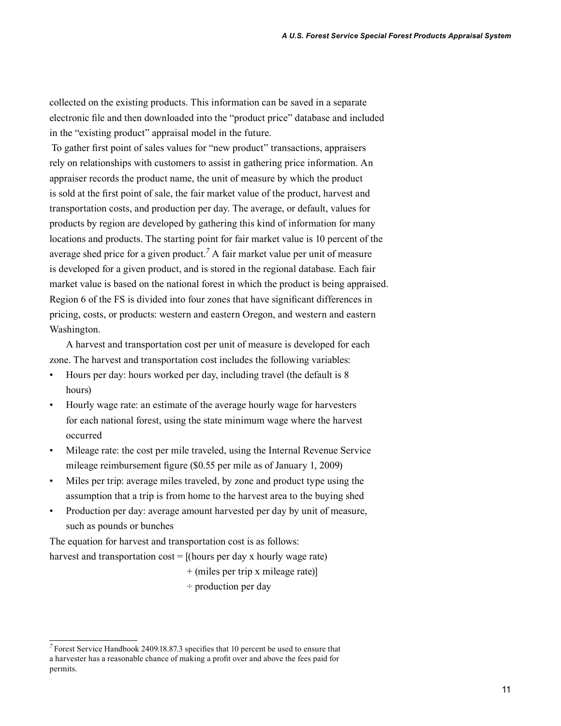collected on the existing products. This information can be saved in a separate electronic file and then downloaded into the "product price" database and included in the "existing product" appraisal model in the future.

To gather first point of sales values for "new product" transactions, appraisers rely on relationships with customers to assist in gathering price information. An appraiser records the product name, the unit of measure by which the product is sold at the first point of sale, the fair market value of the product, harvest and transportation costs, and production per day. The average, or default, values for products by region are developed by gathering this kind of information for many locations and products. The starting point for fair market value is 10 percent of the average shed price for a given product.<sup>7</sup> A fair market value per unit of measure is developed for a given product, and is stored in the regional database. Each fair market value is based on the national forest in which the product is being appraised. Region 6 of the FS is divided into four zones that have significant differences in pricing, costs, or products: western and eastern Oregon, and western and eastern Washington.

A harvest and transportation cost per unit of measure is developed for each zone. The harvest and transportation cost includes the following variables:

- Hours per day: hours worked per day, including travel (the default is 8 hours)
- Hourly wage rate: an estimate of the average hourly wage for harvesters for each national forest, using the state minimum wage where the harvest occurred
- Mileage rate: the cost per mile traveled, using the Internal Revenue Service mileage reimbursement figure (\$0.55 per mile as of January 1, 2009)
- Miles per trip: average miles traveled, by zone and product type using the assumption that a trip is from home to the harvest area to the buying shed
- Production per day: average amount harvested per day by unit of measure, such as pounds or bunches

The equation for harvest and transportation cost is as follows:

harvest and transportation  $cost = [(hours per day x hour] y wage rate)$ 

- + (miles per trip x mileage rate)]
- ÷ production per day

*<sup>7</sup>*Forest Service Handbook 2409.18.87.3 specifies that 10 percent be used to ensure that a harvester has a reasonable chance of making a profit over and above the fees paid for permits.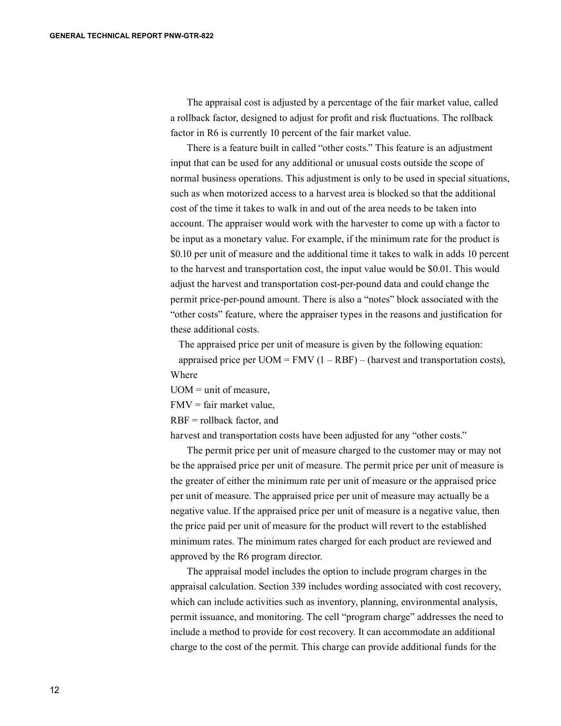The appraisal cost is adjusted by a percentage of the fair market value, called a rollback factor, designed to adjust for profit and risk fluctuations. The rollback factor in R6 is currently 10 percent of the fair market value.

There is a feature built in called "other costs." This feature is an adjustment input that can be used for any additional or unusual costs outside the scope of normal business operations. This adjustment is only to be used in special situations, such as when motorized access to a harvest area is blocked so that the additional cost of the time it takes to walk in and out of the area needs to be taken into account. The appraiser would work with the harvester to come up with a factor to be input as a monetary value. For example, if the minimum rate for the product is \$0.10 per unit of measure and the additional time it takes to walk in adds 10 percent to the harvest and transportation cost, the input value would be \$0.01. This would adjust the harvest and transportation cost-per-pound data and could change the permit price-per-pound amount. There is also a "notes" block associated with the "other costs" feature, where the appraiser types in the reasons and justification for these additional costs.

The appraised price per unit of measure is given by the following equation: appraised price per  $UOM = FMV (1 - RBF) - (harvest and transportation costs),$ Where

 $UOM =$ unit of measure.

 $FMV = fair market value$ .

RBF = rollback factor, and

harvest and transportation costs have been adjusted for any "other costs."

The permit price per unit of measure charged to the customer may or may not be the appraised price per unit of measure. The permit price per unit of measure is the greater of either the minimum rate per unit of measure or the appraised price per unit of measure. The appraised price per unit of measure may actually be a negative value. If the appraised price per unit of measure is a negative value, then the price paid per unit of measure for the product will revert to the established minimum rates. The minimum rates charged for each product are reviewed and approved by the R6 program director.

The appraisal model includes the option to include program charges in the appraisal calculation. Section 339 includes wording associated with cost recovery, which can include activities such as inventory, planning, environmental analysis, permit issuance, and monitoring. The cell "program charge" addresses the need to include a method to provide for cost recovery. It can accommodate an additional charge to the cost of the permit. This charge can provide additional funds for the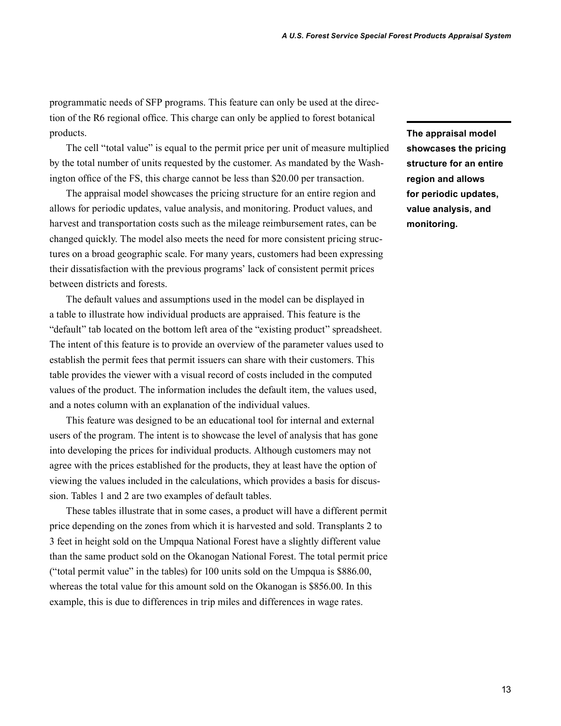programmatic needs of SFP programs. This feature can only be used at the direction of the R6 regional office. This charge can only be applied to forest botanical products.

The cell "total value" is equal to the permit price per unit of measure multiplied by the total number of units requested by the customer. As mandated by the Washington office of the FS, this charge cannot be less than \$20.00 per transaction.

The appraisal model showcases the pricing structure for an entire region and allows for periodic updates, value analysis, and monitoring. Product values, and harvest and transportation costs such as the mileage reimbursement rates, can be changed quickly. The model also meets the need for more consistent pricing structures on a broad geographic scale. For many years, customers had been expressing their dissatisfaction with the previous programs' lack of consistent permit prices between districts and forests.

The default values and assumptions used in the model can be displayed in a table to illustrate how individual products are appraised. This feature is the "default" tab located on the bottom left area of the "existing product" spreadsheet. The intent of this feature is to provide an overview of the parameter values used to establish the permit fees that permit issuers can share with their customers. This table provides the viewer with a visual record of costs included in the computed values of the product. The information includes the default item, the values used, and a notes column with an explanation of the individual values.

This feature was designed to be an educational tool for internal and external users of the program. The intent is to showcase the level of analysis that has gone into developing the prices for individual products. Although customers may not agree with the prices established for the products, they at least have the option of viewing the values included in the calculations, which provides a basis for discussion. Tables 1 and 2 are two examples of default tables.

These tables illustrate that in some cases, a product will have a different permit price depending on the zones from which it is harvested and sold. Transplants 2 to 3 feet in height sold on the Umpqua National Forest have a slightly different value than the same product sold on the Okanogan National Forest. The total permit price ("total permit value" in the tables) for 100 units sold on the Umpqua is \$886.00, whereas the total value for this amount sold on the Okanogan is \$856.00. In this example, this is due to differences in trip miles and differences in wage rates.

**The appraisal model showcases the pricing structure for an entire region and allows for periodic updates, value analysis, and monitoring.**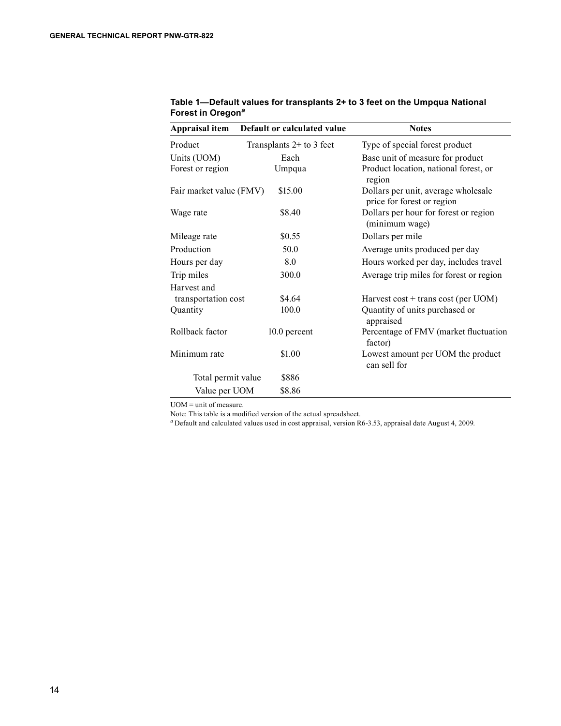| Appraisal item          | Default or calculated value | <b>Notes</b>                                                      |
|-------------------------|-----------------------------|-------------------------------------------------------------------|
| Product                 | Transplants $2+$ to 3 feet  | Type of special forest product                                    |
| Units (UOM)             | Each                        | Base unit of measure for product                                  |
| Forest or region        | Umpqua                      | Product location, national forest, or<br>region                   |
| Fair market value (FMV) | \$15.00                     | Dollars per unit, average wholesale<br>price for forest or region |
| Wage rate               | \$8.40                      | Dollars per hour for forest or region<br>(minimum wage)           |
| Mileage rate            | \$0.55                      | Dollars per mile                                                  |
| Production              | 50.0                        | Average units produced per day                                    |
| Hours per day           | 8.0                         | Hours worked per day, includes travel                             |
| Trip miles              | 300.0                       | Average trip miles for forest or region                           |
| Harvest and             |                             |                                                                   |
| transportation cost     | \$4.64                      | Harvest $cost + trans cost (per UOM)$                             |
| Quantity                | 100.0                       | Quantity of units purchased or<br>appraised                       |
| Rollback factor         | 10.0 percent                | Percentage of FMV (market fluctuation<br>factor)                  |
| Minimum rate            | \$1.00                      | Lowest amount per UOM the product<br>can sell for                 |
| Total permit value      | \$886                       |                                                                   |
| Value per UOM           | \$8.86                      |                                                                   |

**Table 1—Default values for transplants 2+ to 3 feet on the Umpqua National Forest in Oregon***<sup>a</sup>*

UOM = unit of measure.

Note: This table is a modified version of the actual spreadsheet.

*<sup>a</sup>*Default and calculated values used in cost appraisal, version R6-3.53, appraisal date August 4, 2009.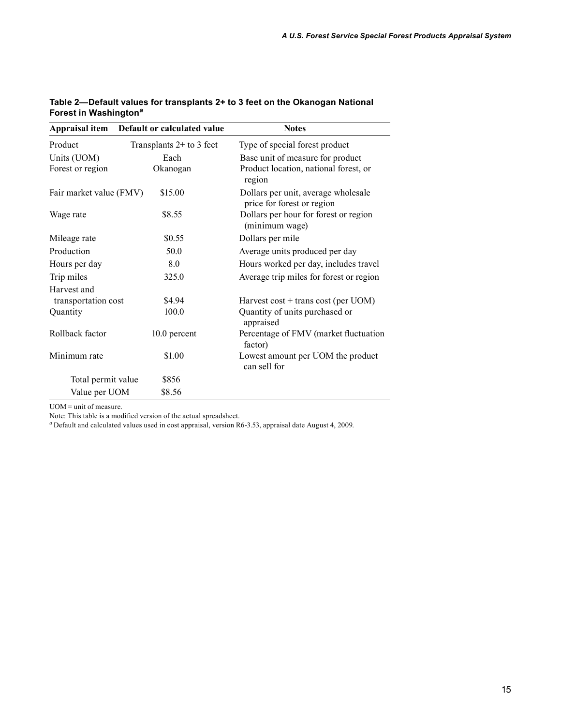| Appraisal item          | Default or calculated value | <b>Notes</b>                                                      |
|-------------------------|-----------------------------|-------------------------------------------------------------------|
| Product                 | Transplants $2+$ to 3 feet  | Type of special forest product                                    |
| Units (UOM)             | Each                        | Base unit of measure for product                                  |
| Forest or region        | Okanogan                    | Product location, national forest, or<br>region                   |
| Fair market value (FMV) | \$15.00                     | Dollars per unit, average wholesale<br>price for forest or region |
| Wage rate               | \$8.55                      | Dollars per hour for forest or region<br>(minimum wage)           |
| Mileage rate            | \$0.55                      | Dollars per mile                                                  |
| Production              | 50.0                        | Average units produced per day                                    |
| Hours per day           | 8.0                         | Hours worked per day, includes travel                             |
| Trip miles              | 325.0                       | Average trip miles for forest or region                           |
| Harvest and             |                             |                                                                   |
| transportation cost     | \$4.94                      | Harvest $cost + trans cost (per UOM)$                             |
| Quantity                | 100.0                       | Quantity of units purchased or<br>appraised                       |
| Rollback factor         | 10.0 percent                | Percentage of FMV (market fluctuation<br>factor)                  |
| Minimum rate            | \$1.00                      | Lowest amount per UOM the product                                 |
|                         |                             | can sell for                                                      |
| Total permit value      | \$856                       |                                                                   |
| Value per UOM           | \$8.56                      |                                                                   |

#### **Table 2—Default values for transplants 2+ to 3 feet on the Okanogan National Forest in Washington***<sup>a</sup>*

UOM = unit of measure.

Note: This table is a modified version of the actual spreadsheet.

<sup>a</sup>Default and calculated values used in cost appraisal, version R6-3.53, appraisal date August 4, 2009.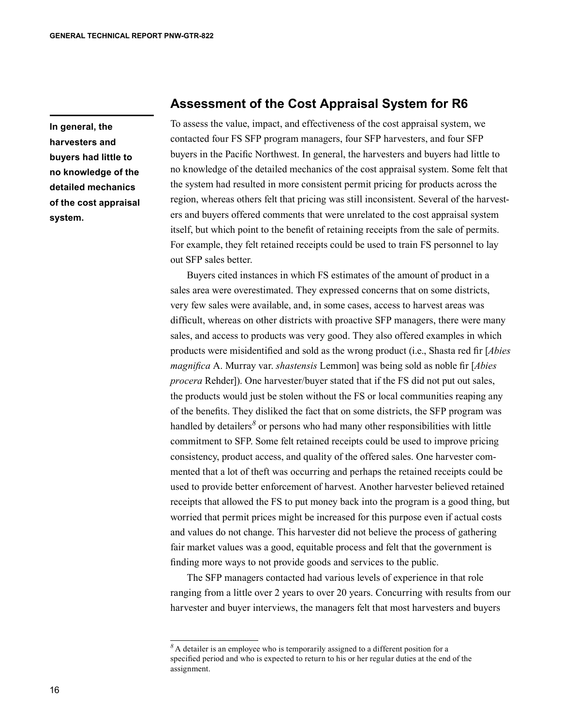**In general, the harvesters and buyers had little to no knowledge of the detailed mechanics of the cost appraisal system.**

#### **Assessment of the Cost Appraisal System for R6**

To assess the value, impact, and effectiveness of the cost appraisal system, we contacted four FS SFP program managers, four SFP harvesters, and four SFP buyers in the Pacific Northwest. In general, the harvesters and buyers had little to no knowledge of the detailed mechanics of the cost appraisal system. Some felt that the system had resulted in more consistent permit pricing for products across the region, whereas others felt that pricing was still inconsistent. Several of the harvesters and buyers offered comments that were unrelated to the cost appraisal system itself, but which point to the benefit of retaining receipts from the sale of permits. For example, they felt retained receipts could be used to train FS personnel to lay out SFP sales better.

Buyers cited instances in which FS estimates of the amount of product in a sales area were overestimated. They expressed concerns that on some districts, very few sales were available, and, in some cases, access to harvest areas was difficult, whereas on other districts with proactive SFP managers, there were many sales, and access to products was very good. They also offered examples in which products were misidentified and sold as the wrong product (i.e., Shasta red fir [*Abies magnifica* A. Murray var. *shastensis* Lemmon] was being sold as noble fir [*Abies procera* Rehder]). One harvester/buyer stated that if the FS did not put out sales, the products would just be stolen without the FS or local communities reaping any of the benefits. They disliked the fact that on some districts, the SFP program was handled by detailers<sup>8</sup> or persons who had many other responsibilities with little commitment to SFP. Some felt retained receipts could be used to improve pricing consistency, product access, and quality of the offered sales. One harvester commented that a lot of theft was occurring and perhaps the retained receipts could be used to provide better enforcement of harvest. Another harvester believed retained receipts that allowed the FS to put money back into the program is a good thing, but worried that permit prices might be increased for this purpose even if actual costs and values do not change. This harvester did not believe the process of gathering fair market values was a good, equitable process and felt that the government is finding more ways to not provide goods and services to the public.

The SFP managers contacted had various levels of experience in that role ranging from a little over 2 years to over 20 years. Concurring with results from our harvester and buyer interviews, the managers felt that most harvesters and buyers

*<sup>8</sup>*A detailer is an employee who is temporarily assigned to a different position for a specified period and who is expected to return to his or her regular duties at the end of the assignment.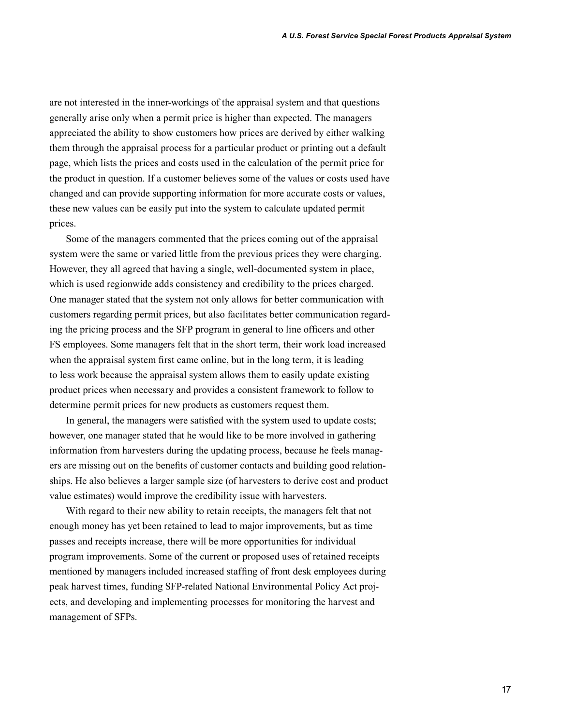are not interested in the inner-workings of the appraisal system and that questions generally arise only when a permit price is higher than expected. The managers appreciated the ability to show customers how prices are derived by either walking them through the appraisal process for a particular product or printing out a default page, which lists the prices and costs used in the calculation of the permit price for the product in question. If a customer believes some of the values or costs used have changed and can provide supporting information for more accurate costs or values, these new values can be easily put into the system to calculate updated permit prices.

Some of the managers commented that the prices coming out of the appraisal system were the same or varied little from the previous prices they were charging. However, they all agreed that having a single, well-documented system in place, which is used regionwide adds consistency and credibility to the prices charged. One manager stated that the system not only allows for better communication with customers regarding permit prices, but also facilitates better communication regarding the pricing process and the SFP program in general to line officers and other FS employees. Some managers felt that in the short term, their work load increased when the appraisal system first came online, but in the long term, it is leading to less work because the appraisal system allows them to easily update existing product prices when necessary and provides a consistent framework to follow to determine permit prices for new products as customers request them.

In general, the managers were satisfied with the system used to update costs; however, one manager stated that he would like to be more involved in gathering information from harvesters during the updating process, because he feels managers are missing out on the benefits of customer contacts and building good relationships. He also believes a larger sample size (of harvesters to derive cost and product value estimates) would improve the credibility issue with harvesters.

With regard to their new ability to retain receipts, the managers felt that not enough money has yet been retained to lead to major improvements, but as time passes and receipts increase, there will be more opportunities for individual program improvements. Some of the current or proposed uses of retained receipts mentioned by managers included increased staffing of front desk employees during peak harvest times, funding SFP-related National Environmental Policy Act projects, and developing and implementing processes for monitoring the harvest and management of SFPs.

17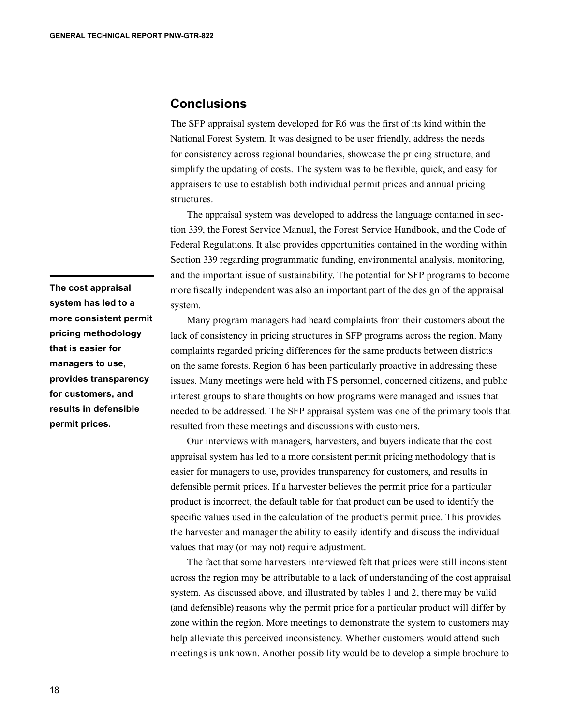#### **Conclusions**

The SFP appraisal system developed for R6 was the first of its kind within the National Forest System. It was designed to be user friendly, address the needs for consistency across regional boundaries, showcase the pricing structure, and simplify the updating of costs. The system was to be flexible, quick, and easy for appraisers to use to establish both individual permit prices and annual pricing structures.

The appraisal system was developed to address the language contained in section 339, the Forest Service Manual, the Forest Service Handbook, and the Code of Federal Regulations. It also provides opportunities contained in the wording within Section 339 regarding programmatic funding, environmental analysis, monitoring, and the important issue of sustainability. The potential for SFP programs to become more fiscally independent was also an important part of the design of the appraisal system.

Many program managers had heard complaints from their customers about the lack of consistency in pricing structures in SFP programs across the region. Many complaints regarded pricing differences for the same products between districts on the same forests. Region 6 has been particularly proactive in addressing these issues. Many meetings were held with FS personnel, concerned citizens, and public interest groups to share thoughts on how programs were managed and issues that needed to be addressed. The SFP appraisal system was one of the primary tools that resulted from these meetings and discussions with customers.

Our interviews with managers, harvesters, and buyers indicate that the cost appraisal system has led to a more consistent permit pricing methodology that is easier for managers to use, provides transparency for customers, and results in defensible permit prices. If a harvester believes the permit price for a particular product is incorrect, the default table for that product can be used to identify the specific values used in the calculation of the product's permit price. This provides the harvester and manager the ability to easily identify and discuss the individual values that may (or may not) require adjustment.

The fact that some harvesters interviewed felt that prices were still inconsistent across the region may be attributable to a lack of understanding of the cost appraisal system. As discussed above, and illustrated by tables 1 and 2, there may be valid (and defensible) reasons why the permit price for a particular product will differ by zone within the region. More meetings to demonstrate the system to customers may help alleviate this perceived inconsistency. Whether customers would attend such meetings is unknown. Another possibility would be to develop a simple brochure to

**The cost appraisal system has led to a more consistent permit pricing methodology that is easier for managers to use, provides transparency for customers, and results in defensible permit prices.**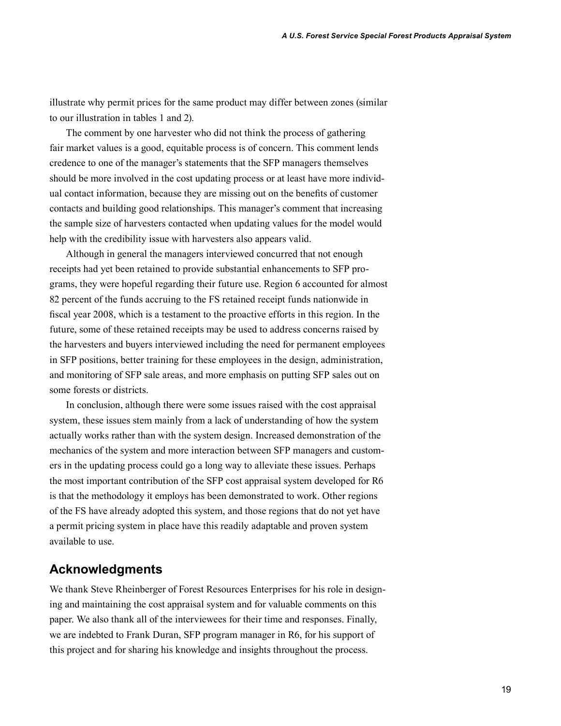illustrate why permit prices for the same product may differ between zones (similar to our illustration in tables 1 and 2).

The comment by one harvester who did not think the process of gathering fair market values is a good, equitable process is of concern. This comment lends credence to one of the manager's statements that the SFP managers themselves should be more involved in the cost updating process or at least have more individual contact information, because they are missing out on the benefits of customer contacts and building good relationships. This manager's comment that increasing the sample size of harvesters contacted when updating values for the model would help with the credibility issue with harvesters also appears valid.

Although in general the managers interviewed concurred that not enough receipts had yet been retained to provide substantial enhancements to SFP programs, they were hopeful regarding their future use. Region 6 accounted for almost 82 percent of the funds accruing to the FS retained receipt funds nationwide in fiscal year 2008, which is a testament to the proactive efforts in this region. In the future, some of these retained receipts may be used to address concerns raised by the harvesters and buyers interviewed including the need for permanent employees in SFP positions, better training for these employees in the design, administration, and monitoring of SFP sale areas, and more emphasis on putting SFP sales out on some forests or districts.

In conclusion, although there were some issues raised with the cost appraisal system, these issues stem mainly from a lack of understanding of how the system actually works rather than with the system design. Increased demonstration of the mechanics of the system and more interaction between SFP managers and customers in the updating process could go a long way to alleviate these issues. Perhaps the most important contribution of the SFP cost appraisal system developed for R6 is that the methodology it employs has been demonstrated to work. Other regions of the FS have already adopted this system, and those regions that do not yet have a permit pricing system in place have this readily adaptable and proven system available to use.

#### **Acknowledgments**

We thank Steve Rheinberger of Forest Resources Enterprises for his role in designing and maintaining the cost appraisal system and for valuable comments on this paper. We also thank all of the interviewees for their time and responses. Finally, we are indebted to Frank Duran, SFP program manager in R6, for his support of this project and for sharing his knowledge and insights throughout the process.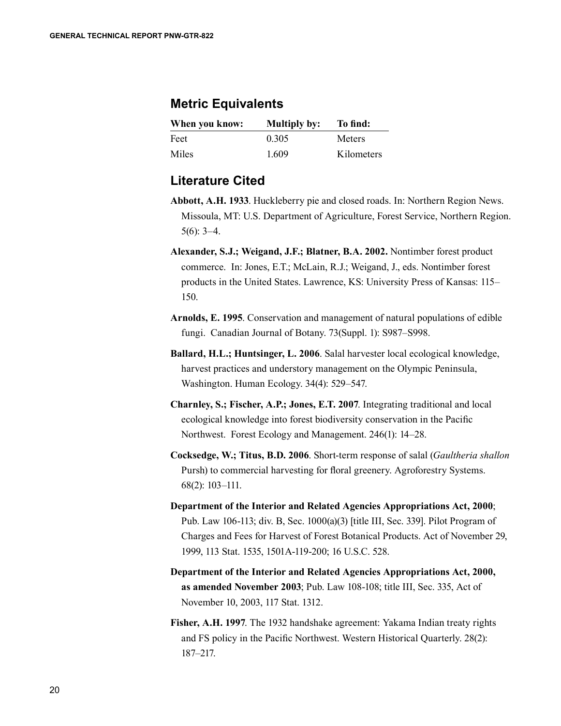## **Metric Equivalents**

| When you know: | <b>Multiply by:</b> | To find:      |
|----------------|---------------------|---------------|
| Feet           | 0.305               | <b>Meters</b> |
| <b>Miles</b>   | 1.609               | Kilometers    |

## **Literature Cited**

- **Abbott, A.H. 1933**. Huckleberry pie and closed roads. In: Northern Region News. Missoula, MT: U.S. Department of Agriculture, Forest Service, Northern Region. 5(6): 3–4.
- **Alexander, S.J.; Weigand, J.F.; Blatner, B.A. 2002.** Nontimber forest product commerce. In: Jones, E.T.; McLain, R.J.; Weigand, J., eds. Nontimber forest products in the United States. Lawrence, KS: University Press of Kansas: 115– 150.
- **Arnolds, E. 1995**. Conservation and management of natural populations of edible fungi. Canadian Journal of Botany. 73(Suppl. 1): S987–S998.
- **Ballard, H.L.; Huntsinger, L. 2006**. Salal harvester local ecological knowledge, harvest practices and understory management on the Olympic Peninsula, Washington. Human Ecology. 34(4): 529–547.
- **Charnley, S.; Fischer, A.P.; Jones, E.T. 2007**. Integrating traditional and local ecological knowledge into forest biodiversity conservation in the Pacific Northwest. Forest Ecology and Management. 246(1): 14–28.
- **Cocksedge, W.; Titus, B.D. 2006**. Short-term response of salal (*Gaultheria shallon* Pursh) to commercial harvesting for floral greenery. Agroforestry Systems. 68(2): 103–111.
- **Department of the Interior and Related Agencies Appropriations Act, 2000**; Pub. Law 106-113; div. B, Sec. 1000(a)(3) [title III, Sec. 339]. Pilot Program of Charges and Fees for Harvest of Forest Botanical Products. Act of November 29, 1999, 113 Stat. 1535, 1501A-119-200; 16 U.S.C. 528.
- **Department of the Interior and Related Agencies Appropriations Act, 2000, as amended November 2003**; Pub. Law 108-108; title III, Sec. 335, Act of November 10, 2003, 117 Stat. 1312.
- **Fisher, A.H. 1997**. The 1932 handshake agreement: Yakama Indian treaty rights and FS policy in the Pacific Northwest. Western Historical Quarterly. 28(2): 187–217.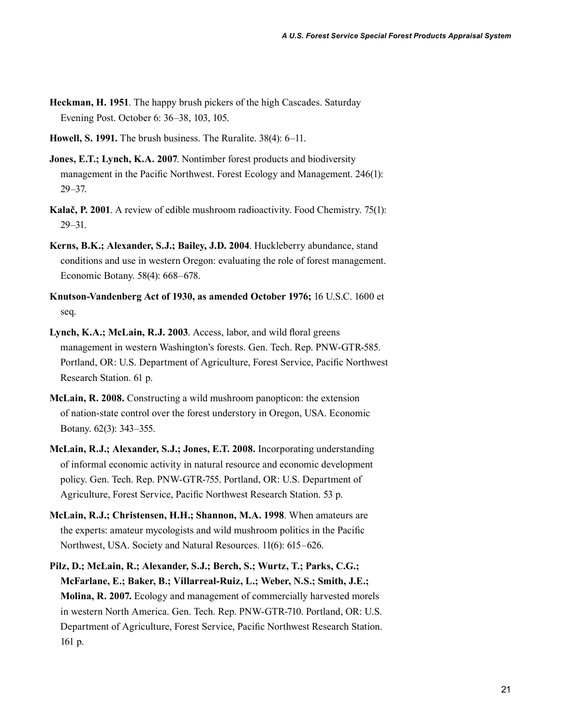- **Heckman, H. 1951**. The happy brush pickers of the high Cascades. Saturday Evening Post. October 6: 36–38, 103, 105.
- **Howell, S. 1991.** The brush business. The Ruralite. 38(4): 6–11.
- **Jones, E.T.; Lynch, K.A. 2007**. Nontimber forest products and biodiversity management in the Pacific Northwest. Forest Ecology and Management. 246(1): 29–37.
- **Kalač, P. 2001**. A review of edible mushroom radioactivity. Food Chemistry. 75(1): 29–31.
- **Kerns, B.K.; Alexander, S.J.; Bailey, J.D. 2004**. Huckleberry abundance, stand conditions and use in western Oregon: evaluating the role of forest management. Economic Botany. 58(4): 668–678.
- **Knutson-Vandenberg Act of 1930, as amended October 1976;** 16 U.S.C. 1600 et seq.
- **Lynch, K.A.; McLain, R.J. 2003**. Access, labor, and wild floral greens management in western Washington's forests. Gen. Tech. Rep. PNW-GTR-585. Portland, OR: U.S. Department of Agriculture, Forest Service, Pacific Northwest Research Station. 61 p.
- **McLain, R. 2008.** Constructing a wild mushroom panopticon: the extension of nation-state control over the forest understory in Oregon, USA. Economic Botany. 62(3): 343–355.
- **McLain, R.J.; Alexander, S.J.; Jones, E.T. 2008.** Incorporating understanding of informal economic activity in natural resource and economic development policy. Gen. Tech. Rep. PNW-GTR-755. Portland, OR: U.S. Department of Agriculture, Forest Service, Pacific Northwest Research Station. 53 p.
- **McLain, R.J.; Christensen, H.H.; Shannon, M.A. 1998**. When amateurs are the experts: amateur mycologists and wild mushroom politics in the Pacific Northwest, USA. Society and Natural Resources. 11(6): 615–626.
- **Pilz, D.; McLain, R.; Alexander, S.J.; Berch, S.; Wurtz, T.; Parks, C.G.; McFarlane, E.; Baker, B.; Villarreal-Ruiz, L.; Weber, N.S.; Smith, J.E.; Molina, R. 2007.** Ecology and management of commercially harvested morels in western North America. Gen. Tech. Rep. PNW-GTR-710. Portland, OR: U.S. Department of Agriculture, Forest Service, Pacific Northwest Research Station. 161 p.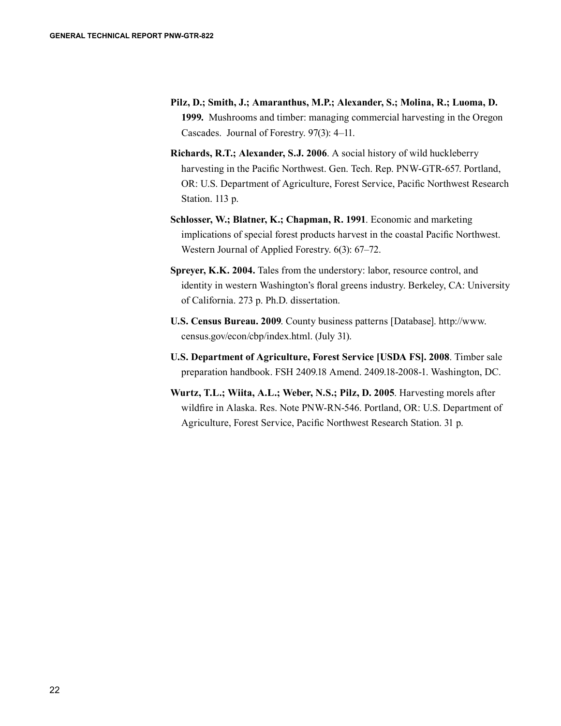- **Pilz, D.; Smith, J.; Amaranthus, M.P.; Alexander, S.; Molina, R.; Luoma, D. 1999.** Mushrooms and timber: managing commercial harvesting in the Oregon Cascades. Journal of Forestry. 97(3): 4–11.
- **Richards, R.T.; Alexander, S.J. 2006**. A social history of wild huckleberry harvesting in the Pacific Northwest. Gen. Tech. Rep. PNW-GTR-657. Portland, OR: U.S. Department of Agriculture, Forest Service, Pacific Northwest Research Station. 113 p.
- **Schlosser, W.; Blatner, K.; Chapman, R. 1991**. Economic and marketing implications of special forest products harvest in the coastal Pacific Northwest. Western Journal of Applied Forestry. 6(3): 67–72.
- **Spreyer, K.K. 2004.** Tales from the understory: labor, resource control, and identity in western Washington's floral greens industry. Berkeley, CA: University of California. 273 p. Ph.D. dissertation.
- **U.S. Census Bureau. 2009**. County business patterns [Database]. http://www. census.gov/econ/cbp/index.html. (July 31).
- **U.S. Department of Agriculture, Forest Service [USDA FS]. 2008**. Timber sale preparation handbook. FSH 2409.18 Amend. 2409.18-2008-1. Washington, DC.
- **Wurtz, T.L.; Wiita, A.L.; Weber, N.S.; Pilz, D. 2005**. Harvesting morels after wildfire in Alaska. Res. Note PNW-RN-546. Portland, OR: U.S. Department of Agriculture, Forest Service, Pacific Northwest Research Station. 31 p.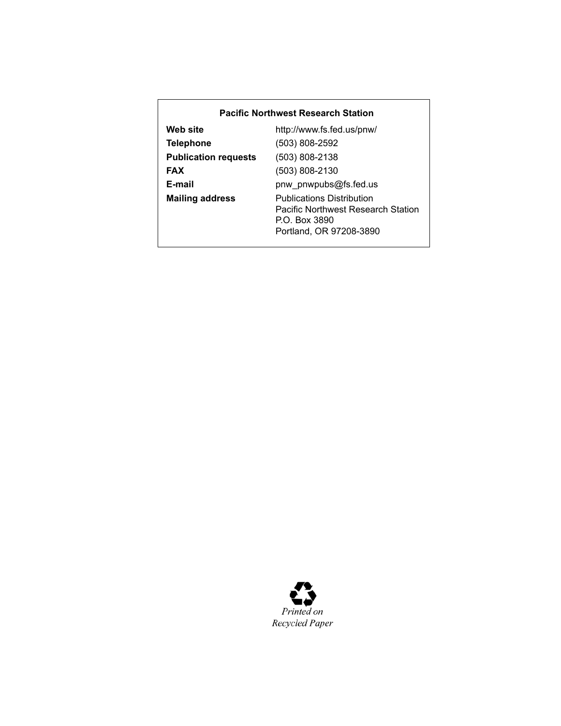#### **Pacific Northwest Research Station**

| Web site                    | http://www.fs.fed.us/pnw/                                                                                                 |
|-----------------------------|---------------------------------------------------------------------------------------------------------------------------|
| <b>Telephone</b>            | $(503) 808 - 2592$                                                                                                        |
| <b>Publication requests</b> | $(503) 808 - 2138$                                                                                                        |
| <b>FAX</b>                  | $(503) 808 - 2130$                                                                                                        |
| E-mail                      | pnw pnwpubs@fs.fed.us                                                                                                     |
| <b>Mailing address</b>      | <b>Publications Distribution</b><br><b>Pacific Northwest Research Station</b><br>P.O. Box 3890<br>Portland, OR 97208-3890 |